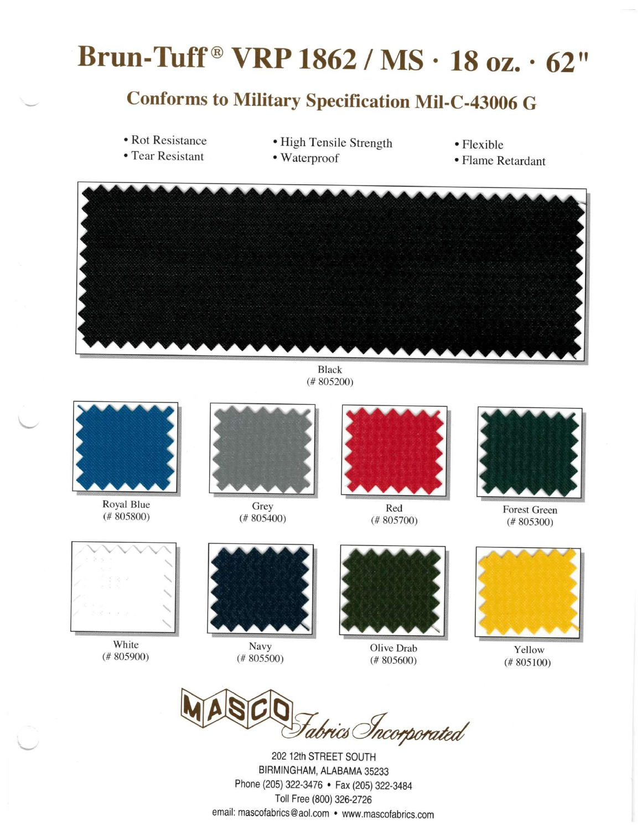# **Brun-ltaff® VRP1862 / MS • 18 oz. • 62"**

### **Conforms to Military Specification Mil-C-43006 G**

- Rot Resistance<br>• Tear Resistant
- High Tensile Strength Waterproof
- 
- Flexible<br>• Flame Retardant



Black (# 805200)



Royal Blue (# 805800)



Grey (# 805400)



Red (# 805700)



Forest Green (# 805300)



White (# 805900)



Navy (# 805500)



Olive Drab (# 805600)



Yellow (# 805100)

tabrics Incorporated

202 12th STREET SOUTH BIRMINGHAM, ALABAMA 35233 Phone (205) 322-3476 • Fax (205) 322-3484 Toll Free (800) 326-2726 email: [mascofabrics@aol.com •](mailto:mascofabrics@aol.com) [www.mascofabrics.com](http://www.mascofabrics.com)